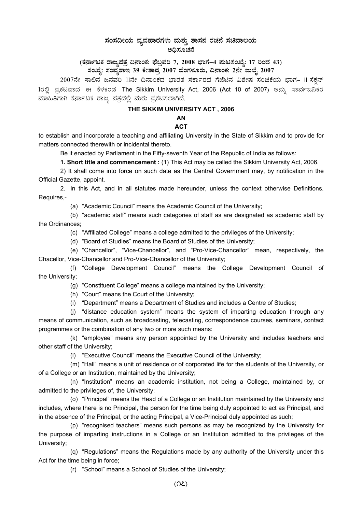# $\,$ ಸಂಸದೀಯ ವ್ಯವಹಾರಗಳು ಮತ್ತು ಶಾಸನ ರಚನೆ ಸಚಿವಾಲಯ ಅಧಿಸೂಚನೆ

### (ಕರ್ನಾಟಕ ರಾಜ್ಯಪತ್ರ ದಿನಾಂಕ: ಫೆಬ್ರವರಿ 7, 2008 ಭಾಗ–4 **ಪುಟಸಂಖ್ಯೆ: 17 ರಿಂದ 43)** ಸಂಖ್ಯೆ: ಸಂವ್ಯಶಾಇ 39 ಕೇಶಾಪ್ರ 2007 ಬೆಂಗಳೂರು, ದಿನಾಂಕ: 2ನೇ ಜುಲೈ 2007 <sub>.</sub>

2007ನೇ ಸಾಲಿನ ಜನವರಿ 11ನೇ ದಿನಾಂಕದ ಭಾರತ ಸರ್ಕಾರದ ಗೆಜೆಟಿನ ವಿಶೇಷ ಸಂಚಿಕೆಯ ಭಾಗ– II ಸೆಕ್ಷನ್ 1ರಲ್ಲಿ ಪ್ರಕಟವಾದ ಈ ಕೆಳಕಂಡ The Sikkim University Act, 2006 (Act 10 of 2007) ಅನ್ನು ಸಾರ್ವಜನಿಕರ ಮಾಹಿತಿಗಾಗಿ ಕರ್ನಾಟಕ ರಾಜ್ಯ ಪತ್ರದಲ್ಲಿ ಮರು ಪ್ರಕಟಿಸಲಾಗಿದೆ.

#### **THE SIKKIM UNIVERSITY ACT , 2006**

# **AN**

### **ACT**

to establish and incorporate a teaching and affiliating University in the State of Sikkim and to provide for matters connected therewith or incidental thereto.

Be it enacted by Parliament in the Fifty-seventh Year of the Republic of India as follows:

**1. Short title and commencement :** (1) This Act may be called the Sikkim University Act, 2006.

2) It shall come into force on such date as the Central Government may, by notification in the Official Gazette, appoint.

2. In this Act, and in all statutes made hereunder, unless the context otherwise Definitions. Requires,-

(a) "Academic Council" means the Academic Council of the University;

(b) "academic staff" means such categories of staff as are designated as academic staff by the Ordinances;

(c) "Affiliated College" means a college admitted to the privileges of the University;

(d) "Board of Studies" means the Board of Studies of the University;

(e) "Chancellor", "Vice-Chancellor", and "Pro-Vice-Chancellor" mean, respectively, the Chacellor, Vice-Chancellor and Pro-Vice-Chancellor of the University;

(f) "College Development Council" means the College Development Council of the University;

(g) "Constituent College" means a college maintained by the University;

(h) "Court" means the Court of the University;

(i) "Department" means a Department of Studies and includes a Centre of Studies;

(j) "distance education system" means the system of imparting education through any means of communication, such as broadcasting, telecasting, correspondence courses, seminars, contact programmes or the combination of any two or more such means:

(k) "employee" means any person appointed by the University and includes teachers and other staff of the University;

(l) "Executive Council" means the Executive Council of the University;

(m) "Hall" means a unit of residence or of corporated life for the students of the University, or of a College or an Institution, maintained by the University;

(n) "Institution" means an academic institution, not being a College, maintained by, or admitted to the privileges of, the University;

(o) "Principal" means the Head of a College or an Institution maintained by the University and includes, where there is no Principal, the person for the time being duly appointed to act as Principal, and in the absence of the Principal, or the acting Principal, a Vice-Principal duly appointed as such;

(p) "recognised teachers" means such persons as may be recognized by the University for the purpose of imparting instructions in a College or an Institution admitted to the privileges of the University;

(q) "Regulations" means the Regulations made by any authority of the University under this Act for the time being in force;

(r) "School" means a School of Studies of the University;

**(17)**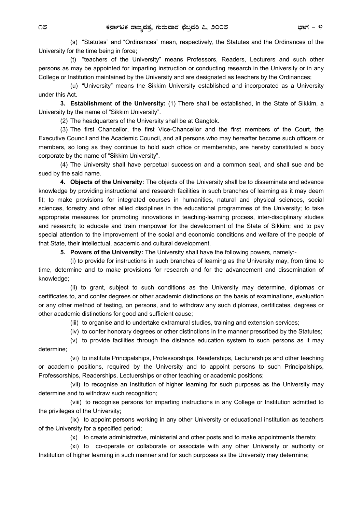(s) "Statutes" and "Ordinances" mean, respectively, the Statutes and the Ordinances of the University for the time being in force;

(t) "teachers of the University" means Professors, Readers, Lecturers and such other persons as may be appointed for imparting instruction or conducting research in the University or in any College or Institution maintained by the University and are designated as teachers by the Ordinances;

(u) "University" means the Sikkim University established and incorporated as a University under this Act.

**3. Establishment of the University:** (1) There shall be established, in the State of Sikkim, a University by the name of "Sikkim University".

(2) The headquarters of the University shall be at Gangtok.

(3) The first Chancellor, the first Vice-Chancellor and the first members of the Court, the Executive Council and the Academic Council, and all persons who may hereafter become such officers or members, so long as they continue to hold such office or membership, are hereby constituted a body corporate by the name of "Sikkim University".

(4) The University shall have perpetual succession and a common seal, and shall sue and be sued by the said name.

**4. Objects of the University:** The objects of the University shall be to disseminate and advance knowledge by providing instructional and research facilities in such branches of learning as it may deem fit; to make provisions for integrated courses in humanities, natural and physical sciences, social sciences, forestry and other allied disciplines in the educational programmes of the University; to take appropriate measures for promoting innovations in teaching-learning process, inter-disciplinary studies and research; to educate and train manpower for the development of the State of Sikkim; and to pay special attention to the improvement of the social and economic conditions and welfare of the people of that State, their intellectual, academic and cultural development.

**5. Powers of the University:** The University shall have the following powers, namely:-

(i) to provide for instructions in such branches of learning as the University may, from time to time, determine and to make provisions for research and for the advancement and dissemination of knowledge;

(ii) to grant, subject to such conditions as the University may determine, diplomas or certificates to, and confer degrees or other academic distinctions on the basis of examinations, evaluation or any other method of testing, on persons, and to withdraw any such diplomas, certificates, degrees or other academic distinctions for good and sufficient cause;

(iii) to organise and to undertake extramural studies, training and extension services;

(iv) to confer honorary degrees or other distinctions in the manner prescribed by the Statutes;

(v) to provide facilities through the distance education system to such persons as it may determine;

(vi) to institute Principalships, Professorships, Readerships, Lecturerships and other teaching or academic positions, required by the University and to appoint persons to such Principalships, Professorships, Readerships, Lectuerships or other teaching or academic positions;

(vii) to recognise an Institution of higher learning for such purposes as the University may determine and to withdraw such recognition;

(viii) to recognise persons for imparting instructions in any College or Institution admitted to the privileges of the University;

(ix) to appoint persons working in any other University or educational institution as teachers of the University for a specified period;

(x) to create administrative, ministerial and other posts and to make appointments thereto;

(xi) to co-operate or collaborate or associate with any other University or authority or Institution of higher learning in such manner and for such purposes as the University may determine;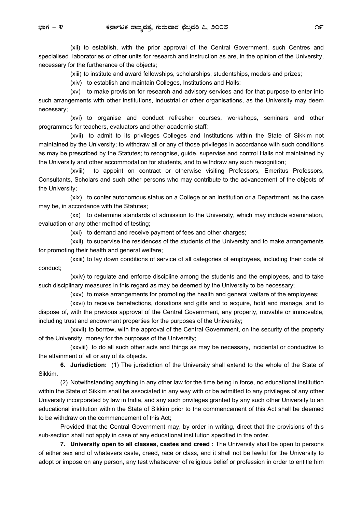(xii) to establish, with the prior approval of the Central Government, such Centres and specialised laboratories or other units for research and instruction as are, in the opinion of the University, necessary for the furtherance of the objects;

(xiii) to institute and award fellowships, scholarships, studentships, medals and prizes;

(xiv) to establish and maintain Colleges, Institutions and Halls;

(xv) to make provision for research and advisory services and for that purpose to enter into such arrangements with other institutions, industrial or other organisations, as the University may deem necessary;

(xvi) to organise and conduct refresher courses, workshops, seminars and other programmes for teachers, evaluators and other academic staff;

(xvii) to admit to its privileges Colleges and Institutions within the State of Sikkim not maintained by the University; to withdraw all or any of those privileges in accordance with such conditions as may be prescribed by the Statutes; to recognise, guide, supervise and control Halls not maintained by the University and other accommodation for students, and to withdraw any such recognition;

(xviii) to appoint on contract or otherwise visiting Professors, Emeritus Professors, Consultants, Scholars and such other persons who may contribute to the advancement of the objects of the University;

(xix) to confer autonomous status on a College or an Institution or a Department, as the case may be, in accordance with the Statutes;

(xx) to determine standards of admission to the University, which may include examination, evaluation or any other method of testing;

(xxi) to demand and receive payment of fees and other charges;

(xxii) to supervise the residences of the students of the University and to make arrangements for promoting their health and general welfare;

(xxiii) to lay down conditions of service of all categories of employees, including their code of conduct;

(xxiv) to regulate and enforce discipline among the students and the employees, and to take such disciplinary measures in this regard as may be deemed by the University to be necessary;

(xxv) to make arrangements for promoting the health and general welfare of the employees;

 (xxvi) to receive benefactions, donations and gifts and to acquire, hold and manage, and to dispose of, with the previous approval of the Central Government, any property, movable or immovable, including trust and endowment properties for the purposes of the University;

(xxvii) to borrow, with the approval of the Central Government, on the security of the property of the University, money for the purposes of the University;

(xxviii) to do all such other acts and things as may be necessary, incidental or conductive to the attainment of all or any of its objects.

 **6. Jurisdiction:** (1) The jurisdiction of the University shall extend to the whole of the State of Sikkim.

(2) Notwithstanding anything in any other law for the time being in force, no educational institution within the State of Sikkim shall be associated in any way with or be admitted to any privileges of any other University incorporated by law in India, and any such privileges granted by any such other University to an educational institution within the State of Sikkim prior to the commencement of this Act shall be deemed to be withdraw on the commencement of this Act;

Provided that the Central Government may, by order in writing, direct that the provisions of this sub-section shall not apply in case of any educational institution specified in the order.

**7. University open to all classes, castes and creed :** The University shall be open to persons of either sex and of whatevers caste, creed, race or class, and it shall not be lawful for the University to adopt or impose on any person, any test whatsoever of religious belief or profession in order to entitle him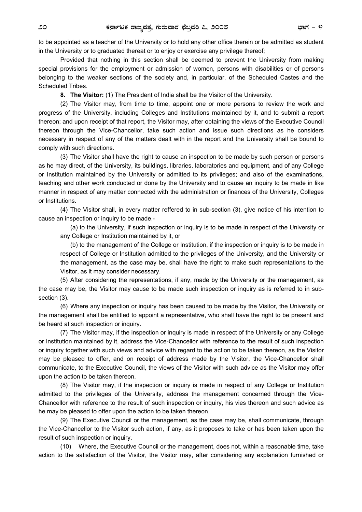to be appointed as a teacher of the University or to hold any other office therein or be admitted as student in the University or to graduated thereat or to enjoy or exercise any privilege thereof;

Provided that nothing in this section shall be deemed to prevent the University from making special provisions for the employment or admission of women, persons with disabilities or of persons belonging to the weaker sections of the society and, in particular, of the Scheduled Castes and the Scheduled Tribes.

**8. The Visitor:** (1) The President of India shall be the Visitor of the University.

(2) The Visitor may, from time to time, appoint one or more persons to review the work and progress of the University, including Colleges and Institutions maintained by it, and to submit a report thereon; and upon receipt of that report, the Visitor may, after obtaining the views of the Executive Council thereon through the Vice-Chancellor, take such action and issue such directions as he considers necessary in respect of any of the matters dealt with in the report and the University shall be bound to comply with such directions.

(3) The Visitor shall have the right to cause an inspection to be made by such person or persons as he may direct, of the University, its buildings, libraries, laboratories and equipment, and of any College or Institution maintained by the University or admitted to its privileges; and also of the examinations, teaching and other work conducted or done by the University and to cause an inquiry to be made in like manner in respect of any matter connected with the administration or finances of the University, Colleges or Institutions.

(4) The Visitor shall, in every matter reffered to in sub-section (3), give notice of his intention to cause an inspection or inquiry to be made,-

(a) to the University, if such inspection or inquiry is to be made in respect of the University or any College or Institution maintained by it, or

(b) to the management of the College or Institution, if the inspection or inquiry is to be made in respect of College or Institution admitted to the privileges of the University, and the University or the management, as the case may be, shall have the right to make such representations to the Visitor, as it may consider necessary.

(5) After considering the representations, if any, made by the University or the management, as the case may be, the Visitor may cause to be made such inspection or inquiry as is referred to in subsection (3).

(6) Where any inspection or inquiry has been caused to be made by the Visitor, the University or the management shall be entitled to appoint a representative, who shall have the right to be present and be heard at such inspection or inquiry.

(7) The Visitor may, if the inspection or inquiry is made in respect of the University or any College or Institution maintained by it, address the Vice-Chancellor with reference to the result of such inspection or inquiry together with such views and advice with regard to the action to be taken thereon, as the Visitor may be pleased to offer, and on receipt of address made by the Visitor, the Vice-Chancellor shall communicate, to the Executive Council, the views of the Visitor with such advice as the Visitor may offer upon the action to be taken thereon.

(8) The Visitor may, if the inspection or inquiry is made in respect of any College or Institution admitted to the privileges of the University, address the management concerned through the Vice-Chancellor with reference to the result of such inspection or inquiry, his vies thereon and such advice as he may be pleased to offer upon the action to be taken thereon.

(9) The Executive Council or the management, as the case may be, shall communicate, through the Vice-Chancellor to the Visitor such action, if any, as it proposes to take or has been taken upon the result of such inspection or inquiry.

(10) Where, the Executive Council or the management, does not, within a reasonable time, take action to the satisfaction of the Visitor, the Visitor may, after considering any explanation furnished or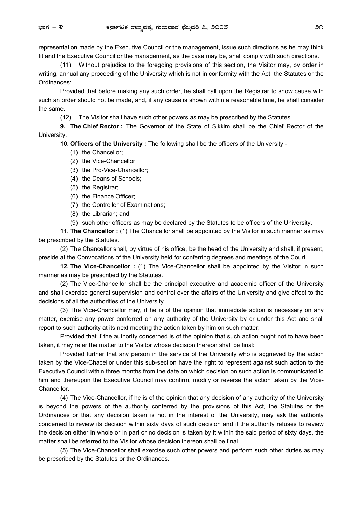representation made by the Executive Council or the management, issue such directions as he may think fit and the Executive Council or the management, as the case may be, shall comply with such directions.

(11) Without prejudice to the foregoing provisions of this section, the Visitor may, by order in writing, annual any proceeding of the University which is not in conformity with the Act, the Statutes or the Ordinances:

Provided that before making any such order, he shall call upon the Registrar to show cause with such an order should not be made, and, if any cause is shown within a reasonable time, he shall consider the same.

(12) The Visitor shall have such other powers as may be prescribed by the Statutes.

**9. The Chief Rector :** The Governor of the State of Sikkim shall be the Chief Rector of the University.

**10. Officers of the University :** The following shall be the officers of the University:-

- (1) the Chancellor;
- (2) the Vice-Chancellor;
- (3) the Pro-Vice-Chancellor;
- (4) the Deans of Schools;
- (5) the Registrar;
- (6) the Finance Officer;
- (7) the Controller of Examinations;
- (8) the Librarian; and
- (9) such other officers as may be declared by the Statutes to be officers of the University.

**11. The Chancellor :** (1) The Chancellor shall be appointed by the Visitor in such manner as may be prescribed by the Statutes.

(2) The Chancellor shall, by virtue of his office, be the head of the University and shall, if present, preside at the Convocations of the University held for conferring degrees and meetings of the Court.

**12. The Vice-Chancellor :** (1) The Vice-Chancellor shall be appointed by the Visitor in such manner as may be prescribed by the Statutes.

(2) The Vice-Chancellor shall be the principal executive and academic officer of the University and shall exercise general supervision and control over the affairs of the University and give effect to the decisions of all the authorities of the University.

(3) The Vice-Chancellor may, if he is of the opinion that immediate action is necessary on any matter, exercise any power conferred on any authority of the University by or under this Act and shall report to such authority at its next meeting the action taken by him on such matter;

Provided that if the authority concerned is of the opinion that such action ought not to have been taken, it may refer the matter to the Visitor whose decision thereon shall be final:

Provided further that any person in the service of the University who is aggrieved by the action taken by the Vice-Chacellor under this sub-section have the right to represent against such action to the Executive Council within three months from the date on which decision on such action is communicated to him and thereupon the Executive Council may confirm, modify or reverse the action taken by the Vice-Chancellor.

(4) The Vice-Chancellor, if he is of the opinion that any decision of any authority of the University is beyond the powers of the authority conferred by the provisions of this Act, the Statutes or the Ordinances or that any decision taken is not in the interest of the University, may ask the authority concerned to review its decision within sixty days of such decision and if the authority refuses to review the decision either in whole or in part or no decision is taken by it within the said period of sixty days, the matter shall be referred to the Visitor whose decision thereon shall be final.

(5) The Vice-Chancellor shall exercise such other powers and perform such other duties as may be prescribed by the Statutes or the Ordinances.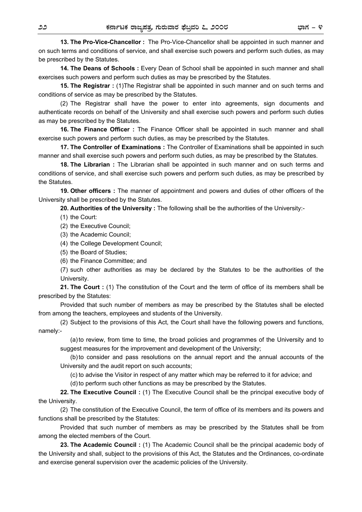**13. The Pro-Vice-Chancellor :** The Pro-Vice-Chancellor shall be appointed in such manner and on such terms and conditions of service, and shall exercise such powers and perform such duties, as may be prescribed by the Statutes.

**14. The Deans of Schools :** Every Dean of School shall be appointed in such manner and shall exercises such powers and perform such duties as may be prescribed by the Statutes.

**15. The Registrar :** (1)The Registrar shall be appointed in such manner and on such terms and conditions of service as may be prescribed by the Statutes.

(2) The Registrar shall have the power to enter into agreements, sign documents and authenticate records on behalf of the University and shall exercise such powers and perform such duties as may be prescribed by the Statutes.

**16. The Finance Officer :** The Finance Officer shall be appointed in such manner and shall exercise such powers and perform such duties, as may be prescribed by the Statutes.

**17. The Controller of Examinations :** The Controller of Examinations shall be appointed in such manner and shall exercise such powers and perform such duties, as may be prescribed by the Statutes.

**18. The Librarian :** The Librarian shall be appointed in such manner and on such terms and conditions of service, and shall exercise such powers and perform such duties, as may be prescribed by the Statutes.

**19. Other officers :** The manner of appointment and powers and duties of other officers of the University shall be prescribed by the Statutes.

**20. Authorities of the University :** The following shall be the authorities of the University:-

(1) the Court:

(2) the Executive Council;

(3) the Academic Council;

(4) the College Development Council;

- (5) the Board of Studies;
- (6) the Finance Committee; and

 (7) such other authorities as may be declared by the Statutes to be the authorities of the University.

**21. The Court :** (1) The constitution of the Court and the term of office of its members shall be prescribed by the Statutes:

Provided that such number of members as may be prescribed by the Statutes shall be elected from among the teachers, employees and students of the University.

(2) Subject to the provisions of this Act, the Court shall have the following powers and functions, namely:-

(a) to review, from time to time, the broad policies and programmes of the University and to suggest measures for the improvement and development of the University;

(b) to consider and pass resolutions on the annual report and the annual accounts of the University and the audit report on such accounts;

(c) to advise the Visitor in respect of any matter which may be referred to it for advice; and

(d) to perform such other functions as may be prescribed by the Statutes.

**22. The Executive Council :** (1) The Executive Council shall be the principal executive body of the University.

(2) The constitution of the Executive Council, the term of office of its members and its powers and functions shall be prescribed by the Statutes:

Provided that such number of members as may be prescribed by the Statutes shall be from among the elected members of the Court.

**23. The Academic Council :** (1) The Academic Council shall be the principal academic body of the University and shall, subject to the provisions of this Act, the Statutes and the Ordinances, co-ordinate and exercise general supervision over the academic policies of the University.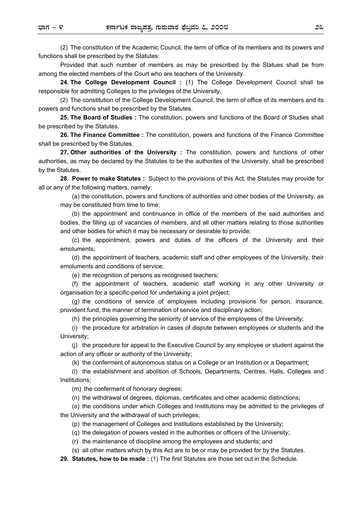(2) The constitution of the Academic Council, the term of office of its members and its powers and functions shall be prescribed by the Statutes:

Provided that such number of members as may be prescribed by the Statues shall be from among the elected members of the Court who are teachers of the University.

**24. The College Development Council :** (1) The College Development Council shall be responsible for admitting Colleges to the privileges of the University.

(2) The constitution of the College Development Council, the term of office of its members and its powers and functions shall be prescribed by the Statutes.

**25. The Board of Studies :** The constitution, powers and functions of the Board of Studies shall be prescribed by the Statutes.

**26. The Finance Committee :** The constitution, powers and functions of the Finance Committee shall be prescribed by the Statutes.

**27. Other authorities of the University :** The constitution, powers and functions of other authorities, as may be declared by the Statutes to be the authorites of the University, shall be prescribed by the Statutes.

**28. Power to make Statutes :** Subject to the provisions of this Act, the Statutes may provide for all or any of the following matters, namely:

(a) the constitution, powers and functions of authorities and other bodies of the University, as may be constituted from time to time;

(b) the appointment and continuance in office of the members of the said authorities and bodies, the filling up of vacancies of members, and all other matters relating to those authorities and other bodies for which it may be necessary or desirable to provide;

(c) the appointment, powers and duties of the officers of the University and their emoluments;

(d) the appointment of teachers, academic staff and other employees of the University, their emoluments and conditions of service;

(e) the recognition of persons as recognised teachers;

(f) the appointment of teachers, academic staff working in any other University or organisation for a specific-period for undertaking a joint project;

(g) the conditions of service of employees including provisions for person, insurance, provident fund, the manner of termination of service and disciplinary action;

(h) the principles governing the seniority of service of the employees of the University;

(i) the procedure for arbitration in cases of dispute between employees or students and the University;

(j) the procedure for appeal to the Executive Council by any employee or student against the action of any officer or authority of the University;

(k) the conferment of autonomous status on a College or an Institution or a Department;

(l) the establishment and abolition of Schools, Departments, Centres, Halls, Colleges and Institutions;

(m) the conferment of honorary degrees;

(n) the withdrawal of degrees, diplomas, certificates and other academic distinctions;

(o) the conditions under which Colleges and Institutions may be admitted to the privileges of the University and the withdrawal of such privileges;

(p) the management of Colleges and Institutions established by the University;

(q) the delegation of powers vested in the authorities or officers of the University;

(r) the maintenance of discipline among the employees and students; and

(s) all other matters which by this Act are to be or may be provided for by the Statutes.

**29. Statutes, how to be made :** (1) The first Statutes are those set out in the Schedule.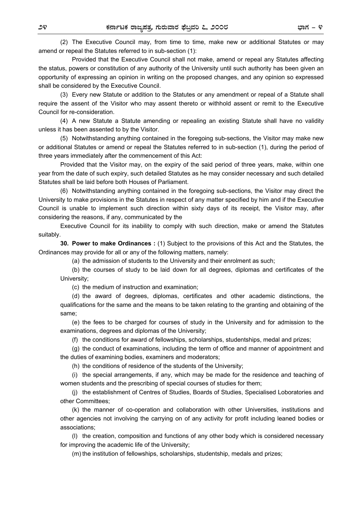(2) The Executive Council may, from time to time, make new or additional Statutes or may amend or repeal the Statutes referred to in sub-section (1):

Provided that the Executive Council shall not make, amend or repeal any Statutes affecting the status, powers or constitution of any authority of the University until such authority has been given an opportunity of expressing an opinion in writing on the proposed changes, and any opinion so expressed shall be considered by the Executive Council.

(3) Every new Statute or addition to the Statutes or any amendment or repeal of a Statute shall require the assent of the Visitor who may assent thereto or withhold assent or remit to the Executive Council for re-consideration.

(4) A new Statute a Statute amending or repealing an existing Statute shall have no validity unless it has been assented to by the Visitor.

(5) Notwithstanding anything contained in the foregoing sub-sections, the Visitor may make new or additional Statutes or amend or repeal the Statutes referred to in sub-section (1), during the period of three years immediately after the commencement of this Act:

Provided that the Visitor may, on the expiry of the said period of three years, make, within one year from the date of such expiry, such detailed Statutes as he may consider necessary and such detailed Statutes shall be laid before both Houses of Parliament.

(6) Notwithstanding anything contained in the foregoing sub-sections, the Visitor may direct the University to make provisions in the Statutes in respect of any matter specified by him and if the Executive Council is unable to implement such direction within sixty days of its receipt, the Visitor may, after considering the reasons, if any, communicated by the

Executive Council for its inability to comply with such direction, make or amend the Statutes suitably.

**30. Power to make Ordinances :** (1) Subject to the provisions of this Act and the Statutes, the Ordinances may provide for all or any of the following matters, namely:

(a) the admission of students to the University and their enrolment as such;

(b) the courses of study to be laid down for all degrees, diplomas and certificates of the University;

(c) the medium of instruction and examination;

(d) the award of degrees, diplomas, certificates and other academic distinctions, the qualifications for the same and the means to be taken relating to the granting and obtaining of the same;

(e) the fees to be charged for courses of study in the University and for admission to the examinations, degrees and diplomas of the University;

(f) the conditions for award of fellowships, scholarships, studentships, medal and prizes;

(g) the conduct of examinations, including the term of office and manner of appointment and the duties of examining bodies, examiners and moderators;

(h) the conditions of residence of the students of the University;

(i) the special arrangements, if any, which may be made for the residence and teaching of women students and the prescribing of special courses of studies for them;

(j) the establishment of Centres of Studies, Boards of Studies, Specialised Loboratories and other Committees;

(k) the manner of co-operation and collaboration with other Universities, institutions and other agencies not involving the carrying on of any activity for profit including leaned bodies or associations;

(l) the creation, composition and functions of any other body which is considered necessary for improving the academic life of the University;

(m) the institution of fellowships, scholarships, studentship, medals and prizes;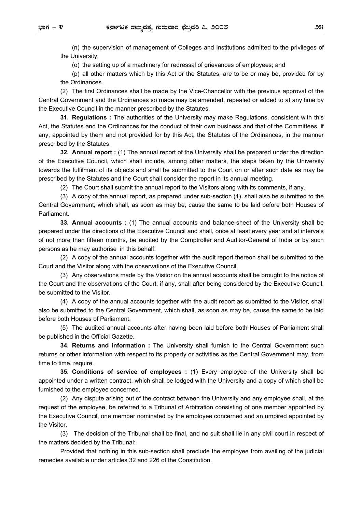(n) the supervision of management of Colleges and Institutions admitted to the privileges of the University;

(o) the setting up of a machinery for redressal of grievances of employees; and

(p) all other matters which by this Act or the Statutes, are to be or may be, provided for by the Ordinances.

(2) The first Ordinances shall be made by the Vice-Chancellor with the previous approval of the Central Government and the Ordinances so made may be amended, repealed or added to at any time by the Executive Council in the manner prescribed by the Statutes.

**31. Regulations :** The authorities of the University may make Regulations, consistent with this Act, the Statutes and the Ordinances for the conduct of their own business and that of the Committees, if any, appointed by them and not provided for by this Act, the Statutes of the Ordinances, in the manner prescribed by the Statutes.

**32. Annual report :** (1) The annual report of the University shall be prepared under the direction of the Executive Council, which shall include, among other matters, the steps taken by the University towards the fulfilment of its objects and shall be submitted to the Court on or after such date as may be prescribed by the Statutes and the Court shall consider the report in its annual meeting.

(2) The Court shall submit the annual report to the Visitors along with its comments, if any.

(3) A copy of the annual report, as prepared under sub-section (1), shall also be submitted to the Central Government, which shall, as soon as may be, cause the same to be laid before both Houses of Parliament.

**33. Annual accounts :** (1) The annual accounts and balance-sheet of the University shall be prepared under the directions of the Executive Council and shall, once at least every year and at intervals of not more than fifteen months, be audited by the Comptroller and Auditor-General of India or by such persons as he may authorise in this behalf.

(2) A copy of the annual accounts together with the audit report thereon shall be submitted to the Court and the Visitor along with the observations of the Executive Council.

(3) Any observations made by the Visitor on the annual accounts shall be brought to the notice of the Court and the observations of the Court, if any, shall after being considered by the Executive Council, be submitted to the Visitor.

(4) A copy of the annual accounts together with the audit report as submitted to the Visitor, shall also be submitted to the Central Government, which shall, as soon as may be, cause the same to be laid before both Houses of Parliament.

(5) The audited annual accounts after having been laid before both Houses of Parliament shall be published in the Official Gazette.

**34. Returns and information :** The University shall furnish to the Central Government such returns or other information with respect to its property or activities as the Central Government may, from time to time, require.

**35. Conditions of service of employees :** (1) Every employee of the University shall be appointed under a written contract, which shall be lodged with the University and a copy of which shall be furnished to the employee concerned.

(2) Any dispute arising out of the contract between the University and any employee shall, at the request of the employee, be referred to a Tribunal of Arbitration consisting of one member appointed by the Executive Council, one member nominated by the employee concerned and an umpired appointed by the Visitor.

(3) The decision of the Tribunal shall be final, and no suit shall lie in any civil court in respect of the matters decided by the Tribunal:

Provided that nothing in this sub-section shall preclude the employee from availing of the judicial remedies available under articles 32 and 226 of the Constitution.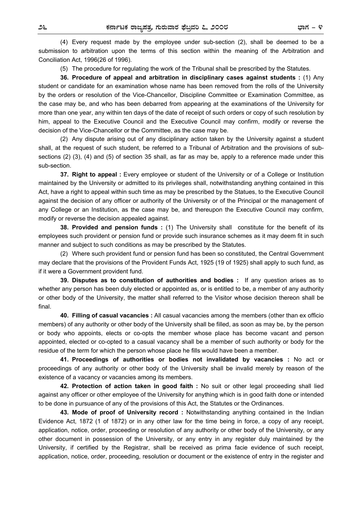(4) Every request made by the employee under sub-section (2), shall be deemed to be a submission to arbitration upon the terms of this section within the meaning of the Arbitration and Conciliation Act, 1996(26 of 1996).

(5) The procedure for regulating the work of the Tribunal shall be prescribed by the Statutes.

**36. Procedure of appeal and arbitration in disciplinary cases against students :** (1) Any student or candidate for an examination whose name has been removed from the rolls of the University by the orders or resolution of the Vice-Chancellor, Discipline Committee or Examination Committee, as the case may be, and who has been debarred from appearing at the examinations of the University for more than one year, any within ten days of the date of receipt of such orders or copy of such resolution by him, appeal to the Executive Council and the Executive Council may confirm, modify or reverse the decision of the Vice-Chancellor or the Committee, as the case may be.

(2) Any dispute arising out of any disciplinary action taken by the University against a student shall, at the request of such student, be referred to a Tribunal of Arbitration and the provisions of subsections (2) (3), (4) and (5) of section 35 shall, as far as may be, apply to a reference made under this sub-section.

**37. Right to appeal :** Every employee or student of the University or of a College or Institution maintained by the University or admitted to its privileges shall, notwithstanding anything contained in this Act, have a right to appeal within such time as may be prescribed by the Statues, to the Executive Council against the decision of any officer or authority of the University or of the Principal or the management of any College or an Institution, as the case may be, and thereupon the Executive Council may confirm, modify or reverse the decision appealed against.

**38. Provided and pension funds :** (1) The University shall constitute for the benefit of its employees such provident or pension fund or provide such insurance schemes as it may deem fit in such manner and subject to such conditions as may be prescribed by the Statutes.

(2) Where such provident fund or pension fund has been so constituted, the Central Government may declare that the provisions of the Provident Funds Act, 1925 (19 of 1925) shall apply to such fund, as if it were a Government provident fund.

**39. Disputes as to constitution of authorities and bodies :** If any question arises as to whether any person has been duly elected or appointed as, or is entitled to be, a member of any authority or other body of the University, the matter shall referred to the Visitor whose decision thereon shall be final.

**40. Filling of casual vacancies :** All casual vacancies among the members (other than ex officio members) of any authority or other body of the University shall be filled, as soon as may be, by the person or body who appoints, elects or co-opts the member whose place has become vacant and person appointed, elected or co-opted to a casual vacancy shall be a member of such authority or body for the residue of the term for which the person whose place he fills would have been a member.

**41. Proceedings of authorities or bodies not invalidated by vacancies :** No act or proceedings of any authority or other body of the University shall be invalid merely by reason of the existence of a vacancy or vacancies among its members.

**42. Protection of action taken in good faith :** No suit or other legal proceeding shall lied against any officer or other employee of the University for anything which is in good faith done or intended to be done in pursuance of any of the provisions of this Act, the Statutes or the Ordinances.

**43. Mode of proof of University record :** Notwithstanding anything contained in the Indian Evidence Act, 1872 (1 of 1872) or in any other law for the time being in force, a copy of any receipt, application, notice, order, proceeding or resolution of any authority or other body of the University, or any other document in possession of the University, or any entry in any register duly maintained by the University, if certified by the Registrar, shall be received as prima facie evidence of such receipt, application, notice, order, proceeding, resolution or document or the existence of entry in the register and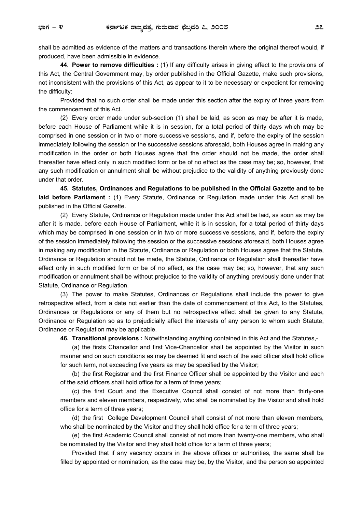shall be admitted as evidence of the matters and transactions therein where the original thereof would, if produced, have been admissible in evidence.

**44. Power to remove difficulties :** (1) If any difficulty arises in giving effect to the provisions of this Act, the Central Government may, by order published in the Official Gazette, make such provisions, not inconsistent with the provisions of this Act, as appear to it to be necessary or expedient for removing the difficulty:

Provided that no such order shall be made under this section after the expiry of three years from the commencement of this Act.

(2) Every order made under sub-section (1) shall be laid, as soon as may be after it is made, before each House of Parliament while it is in session, for a total period of thirty days which may be comprised in one session or in two or more successive sessions, and if, before the expiry of the session immediately following the session or the successive sessions aforesaid, both Houses agree in making any modification in the order or both Houses agree that the order should not be made, the order shall thereafter have effect only in such modified form or be of no effect as the case may be; so, however, that any such modification or annulment shall be without prejudice to the validity of anything previously done under that order.

**45. Statutes, Ordinances and Regulations to be published in the Official Gazette and to be laid before Parliament :** (1) Every Statute, Ordinance or Regulation made under this Act shall be published in the Official Gazette.

(2) Every Statute, Ordinance or Regulation made under this Act shall be laid, as soon as may be after it is made, before each House of Parliament, while it is in session, for a total period of thirty days which may be comprised in one session or in two or more successive sessions, and if, before the expiry of the session immediately following the session or the successive sessions aforesaid, both Houses agree in making any modification in the Statute, Ordinance or Regulation or both Houses agree that the Statute, Ordinance or Regulation should not be made, the Statute, Ordinance or Regulation shall thereafter have effect only in such modified form or be of no effect, as the case may be; so, however, that any such modification or annulment shall be without prejudice to the validity of anything previously done under that Statute, Ordinance or Regulation.

(3) The power to make Statutes, Ordinances or Regulations shall include the power to give retrospective effect, from a date not earlier than the date of commencement of this Act, to the Statutes, Ordinances or Regulations or any of them but no retrospective effect shall be given to any Statute, Ordinance or Regulation so as to prejudicially affect the interests of any person to whom such Statute, Ordinance or Regulation may be applicable.

**46. Transitional provisions :** Notwithstanding anything contained in this Act and the Statutes,-

(a) the firsts Chancellor and first Vice-Chancellor shall be appointed by the Visitor in such manner and on such conditions as may be deemed fit and each of the said officer shall hold office for such term, not exceeding five years as may be specified by the Visitor;

(b) the first Registrar and the first Finance Officer shall be appointed by the Visitor and each of the said officers shall hold office for a term of three years;

(c) the first Court and the Executive Council shall consist of not more than thirty-one members and eleven members, respectively, who shall be nominated by the Visitor and shall hold office for a term of three years;

(d) the first College Development Council shall consist of not more than eleven members, who shall be nominated by the Visitor and they shall hold office for a term of three years;

(e) the first Academic Council shall consist of not more than twenty-one members, who shall be nominated by the Visitor and they shall hold office for a term of three years;

Provided that if any vacancy occurs in the above offices or authorities, the same shall be filled by appointed or nomination, as the case may be, by the Visitor, and the person so appointed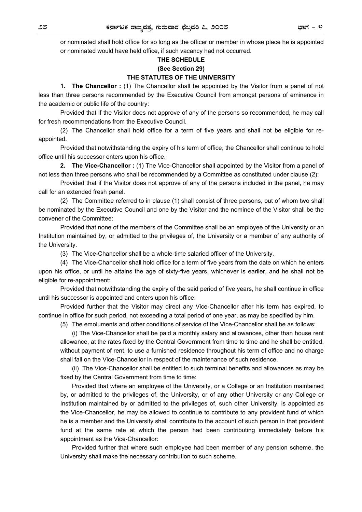or nominated shall hold office for so long as the officer or member in whose place he is appointed or nominated would have held office, if such vacancy had not occurred.

### **THE SCHEDULE (See Section 29) THE STATUTES OF THE UNIVERSITY**

**1. The Chancellor :** (1) The Chancellor shall be appointed by the Visitor from a panel of not less than three persons recommended by the Executive Council from amongst persons of eminence in the academic or public life of the country:

Provided that if the Visitor does not approve of any of the persons so recommended, he may call for fresh recommendations from the Executive Council.

(2) The Chancellor shall hold office for a term of five years and shall not be eligible for reappointed.

Provided that notwithstanding the expiry of his term of office, the Chancellor shall continue to hold office until his successor enters upon his office.

**2. The Vice-Chancellor :** (1) The Vice-Chancellor shall appointed by the Visitor from a panel of not less than three persons who shall be recommended by a Committee as constituted under clause (2):

Provided that if the Visitor does not approve of any of the persons included in the panel, he may call for an extended fresh panel.

(2) The Committee referred to in clause (1) shall consist of three persons, out of whom two shall be nominated by the Executive Council and one by the Visitor and the nominee of the Visitor shall be the convener of the Committee:

Provided that none of the members of the Committee shall be an employee of the University or an Institution maintained by, or admitted to the privileges of, the University or a member of any authority of the University.

(3) The Vice-Chancellor shall be a whole-time salaried officer of the University.

(4) The Vice-Chancellor shall hold office for a term of five years from the date on which he enters upon his office, or until he attains the age of sixty-five years, whichever is earlier, and he shall not be eligible for re-appointment:

Provided that notwithstanding the expiry of the said period of five years, he shall continue in office until his successor is appointed and enters upon his office:

Provided further that the Visitor may direct any Vice-Chancellor after his term has expired, to continue in office for such period, not exceeding a total period of one year, as may be specified by him.

(5) The emoluments and other conditions of service of the Vice-Chancellor shall be as follows:

(i) The Vice-Chancellor shall be paid a monthly salary and allowances, other than house rent allowance, at the rates fixed by the Central Government from time to time and he shall be entitled, without payment of rent, to use a furnished residence throughout his term of office and no charge shall fall on the Vice-Chancellor in respect of the maintenance of such residence.

(ii) The Vice-Chancellor shall be entitled to such terminal benefits and allowances as may be fixed by the Central Government from time to time:

Provided that where an employee of the University, or a College or an Institution maintained by, or admitted to the privileges of, the University, or of any other University or any College or Institution maintained by or admitted to the privileges of, such other University, is appointed as the Vice-Chancellor, he may be allowed to continue to contribute to any provident fund of which he is a member and the University shall contribute to the account of such person in that provident fund at the same rate at which the person had been contributing immediately before his appointment as the Vice-Chancellor:

Provided further that where such employee had been member of any pension scheme, the University shall make the necessary contribution to such scheme.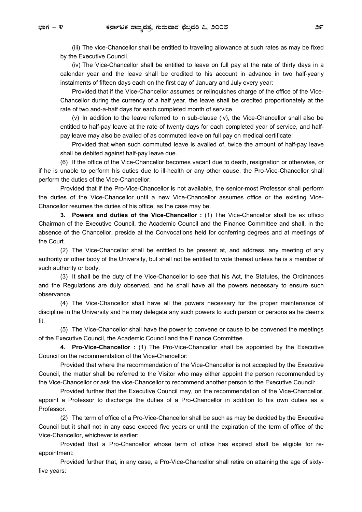(iii) The vice-Chancellor shall be entitled to traveling allowance at such rates as may be fixed by the Executive Council.

(iv) The Vice-Chancellor shall be entitled to leave on full pay at the rate of thirty days in a calendar year and the leave shall be credited to his account in advance in two half-yearly instalments of fifteen days each on the first day of January and July every year:

Provided that if the Vice-Chancellor assumes or relinquishes charge of the office of the Vice-Chancellor during the currency of a half year, the leave shall be credited proportionately at the rate of two and-a-half days for each completed month of service.

(v) In addition to the leave referred to in sub-clause (iv), the Vice-Chancellor shall also be entitled to half-pay leave at the rate of twenty days for each completed year of service, and halfpay leave may also be availed of as commuted leave on full pay on medical certificate:

Provided that when such commuted leave is availed of, twice the amount of half-pay leave shall be debited against half-pay leave due.

(6) If the office of the Vice-Chancellor becomes vacant due to death, resignation or otherwise, or if he is unable to perform his duties due to ill-health or any other cause, the Pro-Vice-Chancellor shall perform the duties of the Vice-Chancellor:

Provided that if the Pro-Vice-Chancellor is not available, the senior-most Professor shall perform the duties of the Vice-Chancellor until a new Vice-Chancellor assumes office or the existing Vice-Chancellor resumes the duties of his office, as the case may be.

**3. Powers and duties of the Vice-Chancellor :** (1) The Vice-Chancellor shall be ex officio Chairman of the Executive Council, the Academic Council and the Finance Committee and shall, in the absence of the Chancellor, preside at the Convocations held for conferring degrees and at meetings of the Court.

(2) The Vice-Chancellor shall be entitled to be present at, and address, any meeting of any authority or other body of the University, but shall not be entitled to vote thereat unless he is a member of such authority or body.

(3) It shall be the duty of the Vice-Chancellor to see that his Act, the Statutes, the Ordinances and the Regulations are duly observed, and he shall have all the powers necessary to ensure such observance.

(4) The Vice-Chancellor shall have all the powers necessary for the proper maintenance of discipline in the University and he may delegate any such powers to such person or persons as he deems fit.

(5) The Vice-Chancellor shall have the power to convene or cause to be convened the meetings of the Executive Council, the Academic Council and the Finance Committee.

 **4. Pro-Vice-Chancellor :** (1) The Pro-Vice-Chancellor shall be appointed by the Executive Council on the recommendation of the Vice-Chancellor:

Provided that where the recommendation of the Vice-Chancellor is not accepted by the Executive Council, the matter shall be referred to the Visitor who may either appoint the person recommended by the Vice-Chancellor or ask the vice-Chancellor to recommend another person to the Executive Council:

Provided further that the Executive Council may, on the recommendation of the Vice-Chancellor, appoint a Professor to discharge the duties of a Pro-Chancellor in addition to his own duties as a Professor.

(2) The term of office of a Pro-Vice-Chancellor shall be such as may be decided by the Executive Council but it shall not in any case exceed five years or until the expiration of the term of office of the Vice-Chancellor, whichever is earlier:

Provided that a Pro-Chancellor whose term of office has expired shall be eligible for reappointment:

Provided further that, in any case, a Pro-Vice-Chancellor shall retire on attaining the age of sixtyfive years: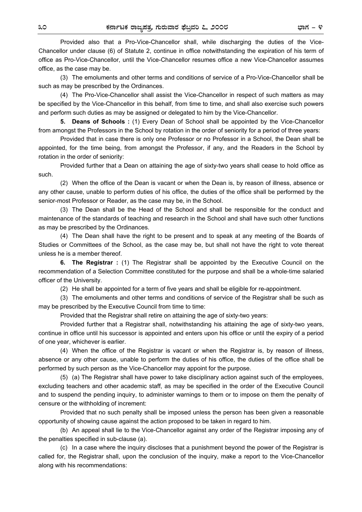Provided also that a Pro-Vice-Chancellor shall, while discharging the duties of the Vice-Chancellor under clause (6) of Statute 2, continue in office notwithstanding the expiration of his term of office as Pro-Vice-Chancellor, until the Vice-Chancellor resumes office a new Vice-Chancellor assumes office, as the case may be.

(3) The emoluments and other terms and conditions of service of a Pro-Vice-Chancellor shall be such as may be prescribed by the Ordinances.

(4) The Pro-Vice-Chancellor shall assist the Vice-Chancellor in respect of such matters as may be specified by the Vice-Chancellor in this behalf, from time to time, and shall also exercise such powers and perform such duties as may be assigned or delegated to him by the Vice-Chancellor.

**5. Deans of Schools :** (1) Every Dean of School shall be appointed by the Vice-Chancellor from amongst the Professors in the School by rotation in the order of seniority for a period of three years:

Provided that in case there is only one Professor or no Professor in a School, the Dean shall be appointed, for the time being, from amongst the Professor, if any, and the Readers in the School by rotation in the order of seniority:

Provided further that a Dean on attaining the age of sixty-two years shall cease to hold office as such.

(2) When the office of the Dean is vacant or when the Dean is, by reason of illness, absence or any other cause, unable to perform duties of his office, the duties of the office shall be performed by the senior-most Professor or Reader, as the case may be, in the School.

(3) The Dean shall be the Head of the School and shall be responsible for the conduct and maintenance of the standards of teaching and research in the School and shall have such other functions as may be prescribed by the Ordinances.

(4) The Dean shall have the right to be present and to speak at any meeting of the Boards of Studies or Committees of the School, as the case may be, but shall not have the right to vote thereat unless he is a member thereof.

**6. The Registrar :** (1) The Registrar shall be appointed by the Executive Council on the recommendation of a Selection Committee constituted for the purpose and shall be a whole-time salaried officer of the University.

(2) He shall be appointed for a term of five years and shall be eligible for re-appointment.

(3) The emoluments and other terms and conditions of service of the Registrar shall be such as may be prescribed by the Executive Council from time to time:

Provided that the Registrar shall retire on attaining the age of sixty-two years:

Provided further that a Registrar shall, notwithstanding his attaining the age of sixty-two years, continue in office until his successor is appointed and enters upon his office or until the expiry of a period of one year, whichever is earlier.

(4) When the office of the Registrar is vacant or when the Registrar is, by reason of illness, absence or any other cause, unable to perform the duties of his office, the duties of the office shall be performed by such person as the Vice-Chancellor may appoint for the purpose.

(5) (a) The Registrar shall have power to take disciplinary action against such of the employees, excluding teachers and other academic staff, as may be specified in the order of the Executive Council and to suspend the pending inquiry, to administer warnings to them or to impose on them the penalty of censure or the withholding of increment:

Provided that no such penalty shall be imposed unless the person has been given a reasonable opportunity of showing cause against the action proposed to be taken in regard to him.

(b) An appeal shall lie to the Vice-Chancellor against any order of the Registrar imposing any of the penalties specified in sub-clause (a).

(c) In a case where the inquiry discloses that a punishment beyond the power of the Registrar is called for, the Registrar shall, upon the conclusion of the inquiry, make a report to the Vice-Chancellor along with his recommendations: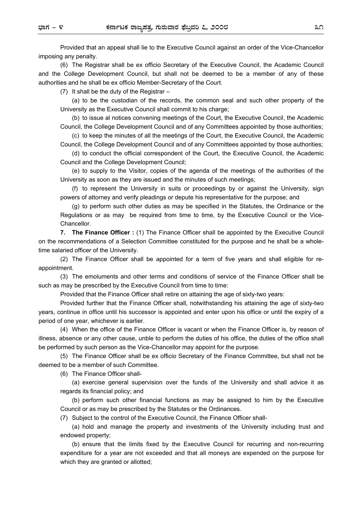Provided that an appeal shall lie to the Executive Council against an order of the Vice-Chancellor imposing any penalty.

(6) The Registrar shall be ex officio Secretary of the Executive Council, the Academic Council and the College Development Council, but shall not be deemed to be a member of any of these authorities and he shall be ex officio Member-Secretary of the Court.

(7) It shall be the duty of the Registrar –

(a) to be the custodian of the records, the common seal and such other property of the University as the Executive Council shall commit to his charge;

(b) to issue al notices convening meetings of the Court, the Executive Council, the Academic Council, the College Development Council and of any Committees appointed by those authorities;

(c) to keep the minutes of all the meetings of the Court, the Executive Council, the Academic Council, the College Development Council and of any Committees appointed by those authorities;

(d) to conduct the official correspondent of the Court, the Executive Council, the Academic Council and the College Development Council;

(e) to supply to the Visitor, copies of the agenda of the meetings of the authorities of the University as soon as they are issued and the minutes of such meetings;

(f) to represent the University in suits or proceedings by or against the University, sign powers of attorney and verify pleadings or depute his representative for the purpose; and

(g) to perform such other duties as may be specified in the Statutes, the Ordinance or the Regulations or as may be required from time to time, by the Executive Council or the Vice-Chancellor.

**7. The Finance Officer :** (1) The Finance Officer shall be appointed by the Executive Council on the recommendations of a Selection Committee constituted for the purpose and he shall be a wholetime salaried officer of the University.

(2) The Finance Officer shall be appointed for a term of five years and shall eligible for reappointment.

(3) The emoluments and other terms and conditions of service of the Finance Officer shall be such as may be prescribed by the Executive Council from time to time:

Provided that the Finance Officer shall retire on attaining the age of sixty-two years:

Provided further that the Finance Officer shall, notwithstanding his attaining the age of sixty-two years, continue in office until his successor is appointed and enter upon his office or until the expiry of a period of one year, whichever is earlier.

(4) When the office of the Finance Officer is vacant or when the Finance Officer is, by reason of illness, absence or any other cause, unble to perform the duties of his office, the duties of the office shall be performed by such person as the Vice-Chancellor may appoint for the purpose.

(5) The Finance Officer shall be ex officio Secretary of the Finance Committee, but shall not be deemed to be a member of such Committee.

(6) The Finance Officer shall-

(a) exercise general supervision over the funds of the University and shall advice it as regards its financial policy; and

(b) perform such other financial functions as may be assigned to him by the Executive Council or as may be prescribed by the Statutes or the Ordinances.

(7) Subject to the control of the Executive Council, the Finance Officer shall-

(a) hold and manage the property and investments of the University including trust and endowed property;

(b) ensure that the limits fixed by the Executive Council for recurring and non-recurring expenditure for a year are not exceeded and that all moneys are expended on the purpose for which they are granted or allotted;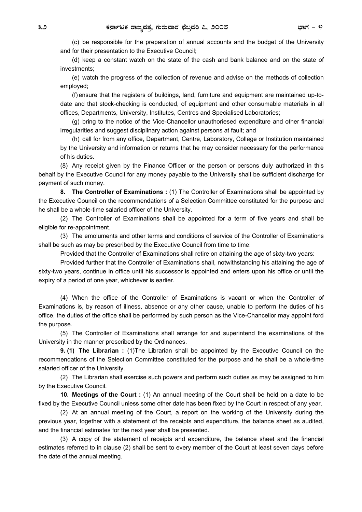(c) be responsible for the preparation of annual accounts and the budget of the University and for their presentation to the Executive Council;

(d) keep a constant watch on the state of the cash and bank balance and on the state of investments;

(e) watch the progress of the collection of revenue and advise on the methods of collection employed;

(f) ensure that the registers of buildings, land, furniture and equipment are maintained up-todate and that stock-checking is conducted, of equipment and other consumable materials in all offices, Departments, University, Institutes, Centres and Specialised Laboratories;

(g) bring to the notice of the Vice-Chancellor unauthoriesed expenditure and other financial irregularities and suggest disciplinary action against persons at fault; and

(h) call for from any office, Department, Centre, Laboratory, College or Institution maintained by the University and information or returns that he may consider necessary for the performance of his duties.

(8) Any receipt given by the Finance Officer or the person or persons duly authorized in this behalf by the Executive Council for any money payable to the University shall be sufficient discharge for payment of such money.

**8. The Controller of Examinations :** (1) The Controller of Examinations shall be appointed by the Executive Council on the recommendations of a Selection Committee constituted for the purpose and he shall be a whole-time salaried officer of the University.

(2) The Controller of Examinations shall be appointed for a term of five years and shall be eligible for re-appointment.

(3) The emoluments and other terms and conditions of service of the Controller of Examinations shall be such as may be prescribed by the Executive Council from time to time:

Provided that the Controller of Examinations shall retire on attaining the age of sixty-two years:

Provided further that the Controller of Examinations shall, notwithstanding his attaining the age of sixty-two years, continue in office until his successor is appointed and enters upon his office or until the expiry of a period of one year, whichever is earlier.

(4) When the office of the Controller of Examinations is vacant or when the Controller of Examinations is, by reason of illness, absence or any other cause, unable to perform the duties of his office, the duties of the office shall be performed by such person as the Vice-Chancellor may appoint ford the purpose.

(5) The Controller of Examinations shall arrange for and superintend the examinations of the University in the manner prescribed by the Ordinances.

**9. (1) The Librarian :** (1)The Librarian shall be appointed by the Executive Council on the recommendations of the Selection Committee constituted for the purpose and he shall be a whole-time salaried officer of the University.

(2) The Librarian shall exercise such powers and perform such duties as may be assigned to him by the Executive Council.

**10. Meetings of the Court :** (1) An annual meeting of the Court shall be held on a date to be fixed by the Executive Council unless some other date has been fixed by the Court in respect of any year.

(2) At an annual meeting of the Court, a report on the working of the University during the previous year, together with a statement of the receipts and expenditure, the balance sheet as audited, and the financial estimates for the next year shall be presented.

(3) A copy of the statement of receipts and expenditure, the balance sheet and the financial estimates referred to in clause (2) shall be sent to every member of the Court at least seven days before the date of the annual meeting.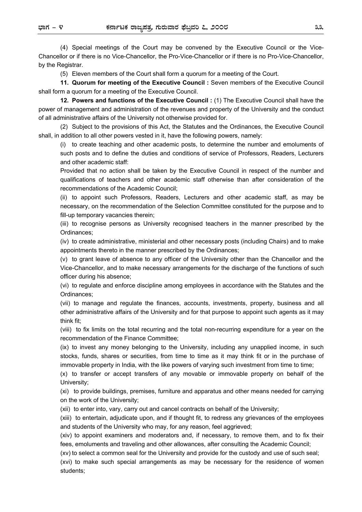(4) Special meetings of the Court may be convened by the Executive Council or the Vice-Chancellor or if there is no Vice-Chancellor, the Pro-Vice-Chancellor or if there is no Pro-Vice-Chancellor, by the Registrar.

(5) Eleven members of the Court shall form a quorum for a meeting of the Court.

**11. Quorum for meeting of the Executive Council :** Seven members of the Executive Council shall form a quorum for a meeting of the Executive Council.

**12. Powers and functions of the Executive Council :** (1) The Executive Council shall have the power of management and administration of the revenues and property of the University and the conduct of all administrative affairs of the University not otherwise provided for.

(2) Subject to the provisions of this Act, the Statutes and the Ordinances, the Executive Council shall, in addition to all other powers vested in it, have the following powers, namely:

(i) to create teaching and other academic posts, to determine the number and emoluments of such posts and to define the duties and conditions of service of Professors, Readers, Lecturers and other academic staff:

Provided that no action shall be taken by the Executive Council in respect of the number and qualifications of teachers and other academic staff otherwise than after consideration of the recommendations of the Academic Council;

(ii) to appoint such Professors, Readers, Lecturers and other academic staff, as may be necessary, on the recommendation of the Selection Committee constituted for the purpose and to fill-up temporary vacancies therein;

(iii) to recognise persons as University recognised teachers in the manner prescribed by the Ordinances;

(iv) to create administrative, ministerial and other necessary posts (including Chairs) and to make appointments thereto in the manner prescribed by the Ordinances;

(v) to grant leave of absence to any officer of the University other than the Chancellor and the Vice-Chancellor, and to make necessary arrangements for the discharge of the functions of such officer during his absence;

(vi) to regulate and enforce discipline among employees in accordance with the Statutes and the Ordinances;

(vii) to manage and regulate the finances, accounts, investments, property, business and all other administrative affairs of the University and for that purpose to appoint such agents as it may think fit;

(viii) to fix limits on the total recurring and the total non-recurring expenditure for a year on the recommendation of the Finance Committee;

(ix) to invest any money belonging to the University, including any unapplied income, in such stocks, funds, shares or securities, from time to time as it may think fit or in the purchase of immovable property in India, with the like powers of varying such investment from time to time;

(x) to transfer or accept transfers of any movable or immovable property on behalf of the University;

(xi) to provide buildings, premises, furniture and apparatus and other means needed for carrying on the work of the University;

(xii) to enter into, vary, carry out and cancel contracts on behalf of the University;

(xiii) to entertain, adjudicate upon, and if thought fit, to redress any grievances of the employees and students of the University who may, for any reason, feel aggrieved;

(xiv) to appoint examiners and moderators and, if necessary, to remove them, and to fix their fees, emoluments and traveling and other allowances, after consulting the Academic Council;

(xv) to select a common seal for the University and provide for the custody and use of such seal;

(xvi) to make such special arrangements as may be necessary for the residence of women students;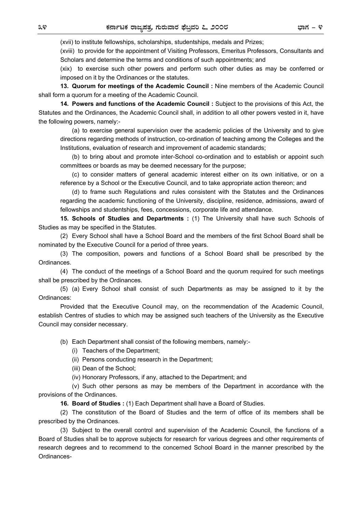(xvii) to institute fellowships, scholarships, studentships, medals and Prizes;

(xviii) to provide for the appointment of Visiting Professors, Emeritus Professors, Consultants and Scholars and determine the terms and conditions of such appointments; and

(xix) to exercise such other powers and perform such other duties as may be conferred or imposed on it by the Ordinances or the statutes.

**13. Quorum for meetings of the Academic Council :** Nine members of the Academic Council shall form a quorum for a meeting of the Academic Council.

**14. Powers and functions of the Academic Council :** Subject to the provisions of this Act, the Statutes and the Ordinances, the Academic Council shall, in addition to all other powers vested in it, have the following powers, namely:-

(a) to exercise general supervision over the academic policies of the University and to give directions regarding methods of instruction, co-ordination of teaching among the Colleges and the Institutions, evaluation of research and improvement of academic standards;

(b) to bring about and promote inter-School co-ordination and to establish or appoint such committees or boards as may be deemed necessary for the purpose;

(c) to consider matters of general academic interest either on its own initiative, or on a reference by a School or the Executive Council, and to take appropriate action thereon; and

(d) to frame such Regulations and rules consistent with the Statutes and the Ordinances regarding the academic functioning of the University, discipline, residence, admissions, award of fellowships and studentships, fees, concessions, corporate life and attendance.

**15. Schools of Studies and Departments :** (1) The University shall have such Schools of Studies as may be specified in the Statutes.

(2) Every School shall have a School Board and the members of the first School Board shall be nominated by the Executive Council for a period of three years.

(3) The composition, powers and functions of a School Board shall be prescribed by the Ordinances.

(4) The conduct of the meetings of a School Board and the quorum required for such meetings shall be prescribed by the Ordinances.

(5) (a) Every School shall consist of such Departments as may be assigned to it by the Ordinances:

Provided that the Executive Council may, on the recommendation of the Academic Council, establish Centres of studies to which may be assigned such teachers of the University as the Executive Council may consider necessary.

(b) Each Department shall consist of the following members, namely:-

(i) Teachers of the Department;

(ii) Persons conducting research in the Department;

(iii) Dean of the School;

(iv) Honorary Professors, if any, attached to the Department; and

(v) Such other persons as may be members of the Department in accordance with the provisions of the Ordinances.

**16. Board of Studies :** (1) Each Department shall have a Board of Studies.

(2) The constitution of the Board of Studies and the term of office of its members shall be prescribed by the Ordinances.

(3) Subject to the overall control and supervision of the Academic Council, the functions of a Board of Studies shall be to approve subjects for research for various degrees and other requirements of research degrees and to recommend to the concerned School Board in the manner prescribed by the Ordinances-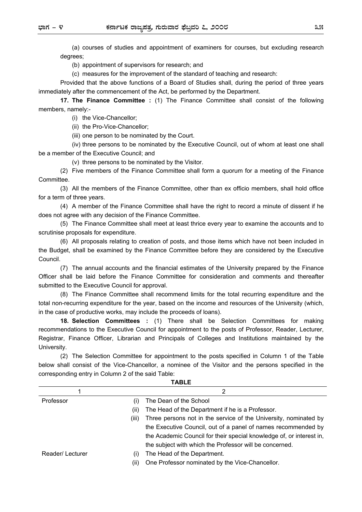(a) courses of studies and appointment of examiners for courses, but excluding research degrees;

(b) appointment of supervisors for research; and

(c) measures for the improvement of the standard of teaching and research:

Provided that the above functions of a Board of Studies shall, during the period of three years immediately after the commencement of the Act, be performed by the Department.

**17. The Finance Committee :** (1) The Finance Committee shall consist of the following members, namely:-

(i) the Vice-Chancellor;

(ii) the Pro-Vice-Chancellor;

(iii) one person to be nominated by the Court.

(iv) three persons to be nominated by the Executive Council, out of whom at least one shall be a member of the Executive Council; and

(v) three persons to be nominated by the Visitor.

(2) Five members of the Finance Committee shall form a quorum for a meeting of the Finance **Committee.** 

(3) All the members of the Finance Committee, other than ex officio members, shall hold office for a term of three years.

(4) A member of the Finance Committee shall have the right to record a minute of dissent if he does not agree with any decision of the Finance Committee.

(5) The Finance Committee shall meet at least thrice every year to examine the accounts and to scrutinise proposals for expenditure.

(6) All proposals relating to creation of posts, and those items which have not been included in the Budget, shall be examined by the Finance Committee before they are considered by the Executive Council.

(7) The annual accounts and the financial estimates of the University prepared by the Finance Officer shall be laid before the Finance Committee for consideration and comments and thereafter submitted to the Executive Council for approval.

(8) The Finance Committee shall recommend limits for the total recurring expenditure and the total non-recurring expenditure for the year, based on the income and resources of the University (which, in the case of productive works, may include the proceeds of loans).

**18. Selection Committees :** (1) There shall be Selection Committees for making recommendations to the Executive Council for appointment to the posts of Professor, Reader, Lecturer, Registrar, Finance Officer, Librarian and Principals of Colleges and Institutions maintained by the University.

(2) The Selection Committee for appointment to the posts specified in Column 1 of the Table below shall consist of the Vice-Chancellor, a nominee of the Visitor and the persons specified in the corresponding entry in Column 2 of the said Table:

**TABLE** 

| .               |                                 |                                                                      |  |
|-----------------|---------------------------------|----------------------------------------------------------------------|--|
|                 |                                 | 2                                                                    |  |
| Professor       | (۱)                             | The Dean of the School                                               |  |
|                 | (ii)                            | The Head of the Department if he is a Professor.                     |  |
|                 | (iii)                           | Three persons not in the service of the University, nominated by     |  |
|                 |                                 | the Executive Council, out of a panel of names recommended by        |  |
|                 |                                 | the Academic Council for their special knowledge of, or interest in, |  |
|                 |                                 | the subject with which the Professor will be concerned.              |  |
| Reader/Lecturer | $\left( \left  \right  \right)$ | The Head of the Department.                                          |  |
|                 | (11)                            | One Professor nominated by the Vice-Chancellor.                      |  |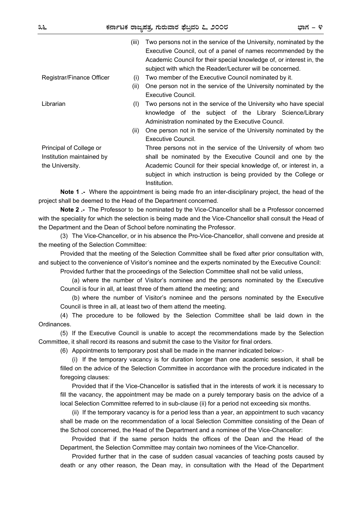| ושו<br>٠ |  |  |
|----------|--|--|
|----------|--|--|

|                                                                         | (iii) | Two persons not in the service of the University, nominated by the<br>Executive Council, out of a panel of names recommended by the<br>Academic Council for their special knowledge of, or interest in, the<br>subject with which the Reader/Lecturer will be concerned.               |
|-------------------------------------------------------------------------|-------|----------------------------------------------------------------------------------------------------------------------------------------------------------------------------------------------------------------------------------------------------------------------------------------|
| Registrar/Finance Officer                                               | (i)   | Two member of the Executive Council nominated by it.                                                                                                                                                                                                                                   |
|                                                                         | (ii)  | One person not in the service of the University nominated by the<br>Executive Council.                                                                                                                                                                                                 |
| Librarian                                                               | (I)   | Two persons not in the service of the University who have special<br>knowledge of the subject of the Library Science/Library<br>Administration nominated by the Executive Council.                                                                                                     |
|                                                                         | (ii)  | One person not in the service of the University nominated by the<br>Executive Council.                                                                                                                                                                                                 |
| Principal of College or<br>Institution maintained by<br>the University. |       | Three persons not in the service of the University of whom two<br>shall be nominated by the Executive Council and one by the<br>Academic Council for their special knowledge of, or interest in, a<br>subject in which instruction is being provided by the College or<br>Institution. |
|                                                                         |       |                                                                                                                                                                                                                                                                                        |

**Note 1 .-** Where the appointment is being made fro an inter-disciplinary project, the head of the project shall be deemed to the Head of the Department concerned.

**Note 2 .-** The Professor to be nominated by the Vice-Chancellor shall be a Professor concerned with the speciality for which the selection is being made and the Vice-Chancellor shall consult the Head of the Department and the Dean of School before nominating the Professor.

(3) The Vice-Chancellor, or in his absence the Pro-Vice-Chancellor, shall convene and preside at the meeting of the Selection Committee:

Provided that the meeting of the Selection Committee shall be fixed after prior consultation with, and subject to the convenience of Visitor's nominee and the experts nominated by the Executive Council:

Provided further that the proceedings of the Selection Committee shall not be valid unless,

(a) where the number of Visitor's nominee and the persons nominated by the Executive Council is four in all, at least three of them attend the meeting; and

(b) where the number of Visitor's nominee and the persons nominated by the Executive Council is three in all, at least two of them attend the meeting.

(4) The procedure to be followed by the Selection Committee shall be laid down in the Ordinances.

(5) If the Executive Council is unable to accept the recommendations made by the Selection Committee, it shall record its reasons and submit the case to the Visitor for final orders.

(6) Appointments to temporary post shall be made in the manner indicated below:-

(i) If the temporary vacancy is for duration longer than one academic session, it shall be filled on the advice of the Selection Committee in accordance with the procedure indicated in the foregoing clauses:

Provided that if the Vice-Chancellor is satisfied that in the interests of work it is necessary to fill the vacancy, the appointment may be made on a purely temporary basis on the advice of a local Selection Committee referred to in sub-clause (ii) for a period not exceeding six months.

(ii) If the temporary vacancy is for a period less than a year, an appointment to such vacancy shall be made on the recommendation of a local Selection Committee consisting of the Dean of the School concerned, the Head of the Department and a nominee of the Vice-Chancellor:

Provided that if the same person holds the offices of the Dean and the Head of the Department, the Selection Committee may contain two nominees of the Vice-Chancellor.

Provided further that in the case of sudden casual vacancies of teaching posts caused by death or any other reason, the Dean may, in consultation with the Head of the Department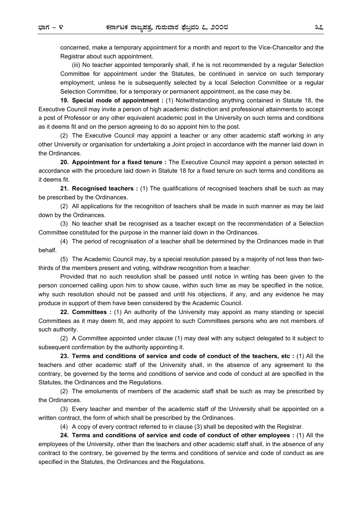concerned, make a temporary appointment for a month and report to the Vice-Chancellor and the Registrar about such appointment.

(iii) No teacher appointed temporarily shall, if he is not recommended by a regular Selection Committee for appointment under the Statutes, be continued in service on such temporary employment, unless he is subsequently selected by a local Selection Committee or a regular Selection Committee, for a temporary or permanent appointment, as the case may be.

**19. Special mode of appointment :** (1) Notwithstanding anything contained in Statute 18, the Executive Council may invite a person of high academic distinction and professional attainments to accept a post of Professor or any other equivalent academic post in the University on such terms and conditions as it deems fit and on the person agreeing to do so appoint him to the post.

(2) The Executive Council may appoint a teacher or any other academic staff working in any other University or organisation for undertaking a Joint project in accordance with the manner laid down in the Ordinances.

**20. Appointment for a fixed tenure :** The Executive Council may appoint a person selected in accordance with the procedure laid down in Statute 18 for a fixed tenure on such terms and conditions as it deems fit.

**21. Recognised teachers :** (1) The qualifications of recognised teachers shall be such as may be prescribed by the Ordinances.

(2) All applications for the recognition of teachers shall be made in such manner as may be laid down by the Ordinances.

(3) No teacher shall be recognised as a teacher except on the recommendation of a Selection Committee constituted for the purpose in the manner laid down in the Ordinances.

(4) The period of recognisation of a teacher shall be determined by the Ordinances made in that behalf.

(5) The Academic Council may, by a special resolution passed by a majority of not less than twothirds of the members present and voting, withdraw recognition from a teacher:

Provided that no such resolution shall be passed until notice in writing has been given to the person concerned calling upon him to show cause, within such time as may be specified in the notice, why such resolution should not be passed and until his objections, if any, and any evidence he may produce in support of them have been considered by the Academic Council.

**22. Committees :** (1) An authority of the University may appoint as many standing or special Committees as it may deem fit, and may appoint to such Committees persons who are not members of such authority.

(2) A Committee appointed under clause (1) may deal with any subject delegated to it subject to subsequent confirmation by the authority appointing it.

**23. Terms and conditions of service and code of conduct of the teachers, etc :** (1) All the teachers and other academic staff of the University shall, in the absence of any agreement to the contrary, be governed by the terms and conditions of service and code of conduct at are specified in the Statutes, the Ordinances and the Regulations.

(2) The emoluments of members of the academic staff shall be such as may be prescribed by the Ordinances.

(3) Every teacher and member of the academic staff of the University shall be appointed on a written contract, the form of which shall be prescribed by the Ordinances.

(4) A copy of every contract referred to in clause (3) shall be deposited with the Registrar.

**24. Terms and conditions of service and code of conduct of other employees :** (1) All the employees of the University, other than the teachers and other academic staff shall, in the absence of any contract to the contrary, be governed by the terms and conditions of service and code of conduct as are specified in the Statutes, the Ordinances and the Regulations.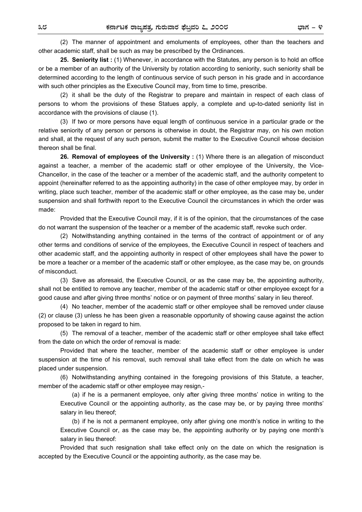(2) The manner of appointment and emoluments of employees, other than the teachers and other academic staff, shall be such as may be prescribed by the Ordinances.

**25. Seniority list :** (1) Whenever, in accordance with the Statutes, any person is to hold an office or be a member of an authority of the University by rotation according to seniority, such seniority shall be determined according to the length of continuous service of such person in his grade and in accordance with such other principles as the Executive Council may, from time to time, prescribe.

(2) it shall be the duty of the Registrar to prepare and maintain in respect of each class of persons to whom the provisions of these Statues apply, a complete and up-to-dated seniority list in accordance with the provisions of clause (1).

(3) If two or more persons have equal length of continuous service in a particular grade or the relative seniority of any person or persons is otherwise in doubt, the Registrar may, on his own motion and shall, at the request of any such person, submit the matter to the Executive Council whose decision thereon shall be final.

**26. Removal of employees of the University :** (1) Where there is an allegation of misconduct against a teacher, a member of the academic staff or other employee of the University, the Vice-Chancellor, in the case of the teacher or a member of the academic staff, and the authority competent to appoint (hereinafter referred to as the appointing authority) in the case of other employee may, by order in writing, place such teacher, member of the academic staff or other employee, as the case may be, under suspension and shall forthwith report to the Executive Council the circumstances in which the order was made:

Provided that the Executive Council may, if it is of the opinion, that the circumstances of the case do not warrant the suspension of the teacher or a member of the academic staff, revoke such order.

(2) Notwithstanding anything contained in the terms of the contract of appointment or of any other terms and conditions of service of the employees, the Executive Council in respect of teachers and other academic staff, and the appointing authority in respect of other employees shall have the power to be more a teacher or a member of the academic staff or other employee, as the case may be, on grounds of misconduct.

(3) Save as aforesaid, the Executive Council, or as the case may be, the appointing authority, shall not be entitled to remove any teacher, member of the academic staff or other employee except for a good cause and after giving three months' notice or on payment of three months' salary in lieu thereof.

(4) No teacher, member of the academic staff or other employee shall be removed under clause (2) or clause (3) unless he has been given a reasonable opportunity of showing cause against the action proposed to be taken in regard to him.

(5) The removal of a teacher, member of the academic staff or other employee shall take effect from the date on which the order of removal is made:

Provided that where the teacher, member of the academic staff or other employee is under suspension at the time of his removal, such removal shall take effect from the date on which he was placed under suspension.

(6) Notwithstanding anything contained in the foregoing provisions of this Statute, a teacher, member of the academic staff or other employee may resign,-

(a) if he is a permanent employee, only after giving three months' notice in writing to the Executive Council or the appointing authority, as the case may be, or by paying three months' salary in lieu thereof;

(b) if he is not a permanent employee, only after giving one month's notice in writing to the Executive Council or, as the case may be, the appointing authority or by paying one month's salary in lieu thereof:

Provided that such resignation shall take effect only on the date on which the resignation is accepted by the Executive Council or the appointing authority, as the case may be.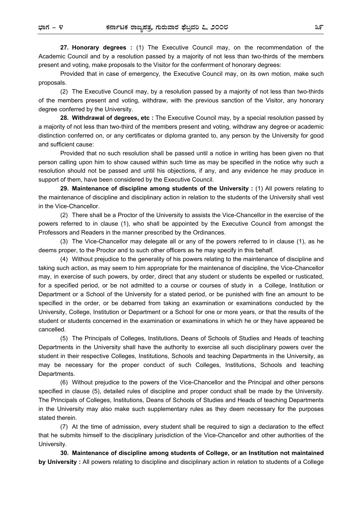**27. Honorary degrees :** (1) The Executive Council may, on the recommendation of the Academic Council and by a resolution passed by a majority of not less than two-thirds of the members present and voting, make proposals to the Visitor for the conferrment of honorary degrees:

Provided that in case of emergency, the Executive Council may, on its own motion, make such proposals.

(2) The Executive Council may, by a resolution passed by a majority of not less than two-thirds of the members present and voting, withdraw, with the previous sanction of the Visitor, any honorary degree conferred by the University.

**28. Withdrawal of degrees, etc :** The Executive Council may, by a special resolution passed by a majority of not less than two-third of the members present and voting, withdraw any degree or academic distinction conferred on, or any certificates or diploma granted to, any person by the University for good and sufficient cause:

Provided that no such resolution shall be passed until a notice in writing has been given no that person calling upon him to show caused within such time as may be specified in the notice why such a resolution should not be passed and until his objections, if any, and any evidence he may produce in support of them, have been considered by the Executive Council.

**29. Maintenance of discipline among students of the University :** (1) All powers relating to the maintenance of discipline and disciplinary action in relation to the students of the University shall vest in the Vice-Chancellor.

(2) There shall be a Proctor of the University to assists the Vice-Chancellor in the exercise of the powers referred to in clause (1), who shall be appointed by the Executive Council from amongst the Professors and Readers in the manner prescribed by the Ordinances.

(3) The Vice-Chancellor may delegate all or any of the powers referred to in clause (1), as he deems proper, to the Proctor and to such other officers as he may specify in this behalf.

(4) Without prejudice to the generality of his powers relating to the maintenance of discipline and taking such action, as may seem to him appropriate for the maintenance of discipline, the Vice-Chancellor may, in exercise of such powers, by order, direct that any student or students be expelled or rusticated, for a specified period, or be not admitted to a course or courses of study in a College, Institution or Department or a School of the University for a stated period, or be punished with fine an amount to be specified in the order, or be debarred from taking an examination or examinations conducted by the University, College, Institution or Department or a School for one or more years, or that the results of the student or students concerned in the examination or examinations in which he or they have appeared be cancelled.

(5) The Principals of Colleges, Institutions, Deans of Schools of Studies and Heads of teaching Departments in the University shall have the authority to exercise all such disciplinary powers over the student in their respective Colleges, Institutions, Schools and teaching Departments in the University, as may be necessary for the proper conduct of such Colleges, Institutions, Schools and teaching Departments.

(6) Without prejudice to the powers of the Vice-Chancellor and the Principal and other persons specified in clause (5), detailed rules of discipline and proper conduct shall be made by the University. The Principals of Colleges, Institutions, Deans of Schools of Studies and Heads of teaching Departments in the University may also make such supplementary rules as they deem necessary for the purposes stated therein.

(7) At the time of admission, every student shall be required to sign a declaration to the effect that he submits himself to the disciplinary jurisdiction of the Vice-Chancellor and other authorities of the University.

**30. Maintenance of discipline among students of College, or an Institution not maintained by University :** All powers relating to discipline and disciplinary action in relation to students of a College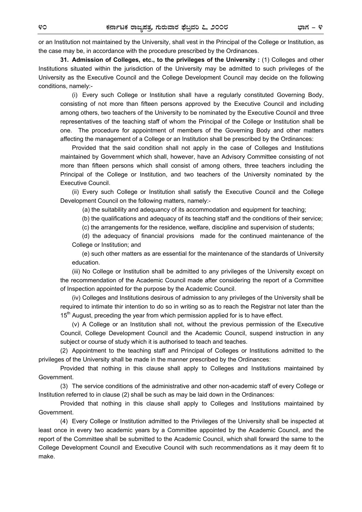or an Institution not maintained by the University, shall vest in the Principal of the College or Institution, as the case may be, in accordance with the procedure prescribed by the Ordinances.

**31. Admission of Colleges, etc., to the privileges of the University :** (1) Colleges and other Institutions situated within the jurisdiction of the University may be admitted to such privileges of the University as the Executive Council and the College Development Council may decide on the following conditions, namely:-

(i) Every such College or Institution shall have a regularly constituted Governing Body, consisting of not more than fifteen persons approved by the Executive Council and including among others, two teachers of the University to be nominated by the Executive Council and three representatives of the teaching staff of whom the Principal of the College or Institution shall be one. The procedure for appointment of members of the Governing Body and other matters affecting the management of a College or an Institution shall be prescribed by the Ordinances:

Provided that the said condition shall not apply in the case of Colleges and Institutions maintained by Government which shall, however, have an Advisory Committee consisting of not more than fifteen persons which shall consist of among others, three teachers including the Principal of the College or Institution, and two teachers of the University nominated by the Executive Council.

(ii) Every such College or Institution shall satisfy the Executive Council and the College Development Council on the following matters, namely:-

(a) the suitability and adequancy of its accommodation and equipment for teaching;

(b) the qualifications and adequacy of its teaching staff and the conditions of their service;

(c) the arrangements for the residence, welfare, discipline and supervision of students;

(d) the adequacy of financial provisions made for the continued maintenance of the College or Institution; and

(e) such other matters as are essential for the maintenance of the standards of University education.

(iii) No College or Institution shall be admitted to any privileges of the University except on the recommendation of the Academic Council made after considering the report of a Committee of Inspection appointed for the purpose by the Academic Council.

(iv) Colleges and Institutions desirous of admission to any privileges of the University shall be required to intimate thir intention to do so in writing so as to reach the Registrar not later than the 15<sup>th</sup> August, preceding the year from which permission applied for is to have effect.

(v) A College or an Institution shall not, without the previous permission of the Executive Council, College Development Council and the Academic Council, suspend instruction in any subject or course of study which it is authorised to teach and teaches.

(2) Appointment to the teaching staff and Principal of Colleges or Institutions admitted to the privileges of the University shall be made in the manner prescribed by the Ordinances:

Provided that nothing in this clause shall apply to Colleges and Institutions maintained by Government.

(3) The service conditions of the administrative and other non-academic staff of every College or Institution referred to in clause (2) shall be such as may be laid down in the Ordinances:

Provided that nothing in this clause shall apply to Colleges and Institutions maintained by Government.

(4) Every College or Institution admitted to the Privileges of the University shall be inspected at least once in every two academic years by a Committee appointed by the Academic Council, and the report of the Committee shall be submitted to the Academic Council, which shall forward the same to the College Development Council and Executive Council with such recommendations as it may deem fit to make.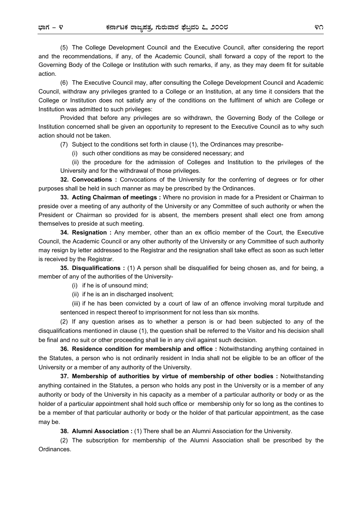(5) The College Development Council and the Executive Council, after considering the report and the recommendations, if any, of the Academic Council, shall forward a copy of the report to the Governing Body of the College or Institution with such remarks, if any, as they may deem fit for suitable action.

(6) The Executive Council may, after consulting the College Development Council and Academic Council, withdraw any privileges granted to a College or an Institution, at any time it considers that the College or Institution does not satisfy any of the conditions on the fulfilment of which are College or Institution was admitted to such privileges:

Provided that before any privileges are so withdrawn, the Governing Body of the College or Institution concerned shall be given an opportunity to represent to the Executive Council as to why such action should not be taken.

(7) Subject to the conditions set forth in clause (1), the Ordinances may prescribe-

(i) such other conditions as may be considered necessary; and

(ii) the procedure for the admission of Colleges and Institution to the privileges of the University and for the withdrawal of those privileges.

**32. Convocations :** Convocations of the University for the conferring of degrees or for other purposes shall be held in such manner as may be prescribed by the Ordinances.

**33. Acting Chairman of meetings :** Where no provision in made for a President or Chairman to preside over a meeting of any authority of the University or any Committee of such authority or when the President or Chairman so provided for is absent, the members present shall elect one from among themselves to preside at such meeting.

 **34. Resignation :** Any member, other than an ex officio member of the Court, the Executive Council, the Academic Council or any other authority of the University or any Committee of such authority may resign by letter addressed to the Registrar and the resignation shall take effect as soon as such letter is received by the Registrar.

**35. Disqualifications :** (1) A person shall be disqualified for being chosen as, and for being, a member of any of the authorities of the University-

(i) if he is of unsound mind;

(ii) if he is an in discharged insolvent;

(iii) if he has been convicted by a court of law of an offence involving moral turpitude and sentenced in respect thereof to imprisonment for not less than six months.

(2) If any question arises as to whether a person is or had been subjected to any of the disqualifications mentioned in clause (1), the question shall be referred to the Visitor and his decision shall be final and no suit or other proceeding shall lie in any civil against such decision.

**36. Residence condition for membership and office :** Notwithstanding anything contained in the Statutes, a person who is not ordinarily resident in India shall not be eligible to be an officer of the University or a member of any authority of the University.

**37. Membership of authorities by virtue of membership of other bodies :** Notwithstanding anything contained in the Statutes, a person who holds any post in the University or is a member of any authority or body of the University in his capacity as a member of a particular authority or body or as the holder of a particular appointment shall hold such office or membership only for so long as the contines to be a member of that particular authority or body or the holder of that particular appointment, as the case may be.

**38. Alumni Association :** (1) There shall be an Alumni Association for the University.

(2) The subscription for membership of the Alumni Association shall be prescribed by the Ordinances.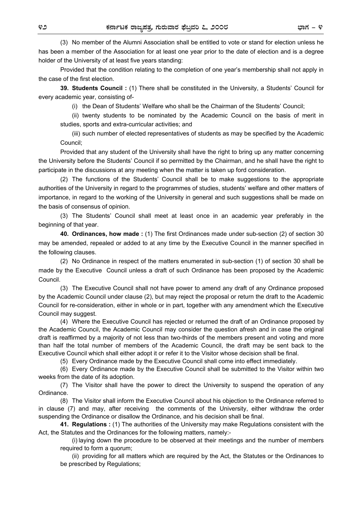(3) No member of the Alumni Association shall be entitled to vote or stand for election unless he has been a member of the Association for at least one year prior to the date of election and is a degree holder of the University of at least five years standing:

Provided that the condition relating to the completion of one year's membership shall not apply in the case of the first election.

**39. Students Council :** (1) There shall be constituted in the University, a Students' Council for every academic year, consisting of-

(i) the Dean of Students' Welfare who shall be the Chairman of the Students' Council;

(ii) twenty students to be nominated by the Academic Council on the basis of merit in studies, sports and extra-curricular activities; and

(iii) such number of elected representatives of students as may be specified by the Academic Council;

Provided that any student of the University shall have the right to bring up any matter concerning the University before the Students' Council if so permitted by the Chairman, and he shall have the right to participate in the discussions at any meeting when the matter is taken up ford consideration.

(2) The functions of the Students' Council shall be to make suggestions to the appropriate authorities of the University in regard to the programmes of studies, students' welfare and other matters of importance, in regard to the working of the University in general and such suggestions shall be made on the basis of consensus of opinion.

(3) The Students' Council shall meet at least once in an academic year preferably in the beginning of that year.

**40. Ordinances, how made :** (1) The first Ordinances made under sub-section (2) of section 30 may be amended, repealed or added to at any time by the Executive Council in the manner specified in the following clauses.

(2) No Ordinance in respect of the matters enumerated in sub-section (1) of section 30 shall be made by the Executive Council unless a draft of such Ordinance has been proposed by the Academic Council.

(3) The Executive Council shall not have power to amend any draft of any Ordinance proposed by the Academic Council under clause (2), but may reject the proposal or return the draft to the Academic Council for re-consideration, either in whole or in part, together with any amendment which the Executive Council may suggest.

(4) Where the Executive Council has rejected or returned the draft of an Ordinance proposed by the Academic Council, the Academic Council may consider the question afresh and in case the original draft is reaffirmed by a majority of not less than two-thirds of the members present and voting and more than half the total number of members of the Academic Council, the draft may be sent back to the Executive Council which shall either adopt it or refer it to the Visitor whose decision shall be final.

(5) Every Ordinance made by the Executive Council shall come into effect immediately.

(6) Every Ordinance made by the Executive Council shall be submitted to the Visitor within two weeks from the date of its adoption.

(7) The Visitor shall have the power to direct the University to suspend the operation of any Ordinance.

(8) The Visitor shall inform the Executive Council about his objection to the Ordinance referred to in clause (7) and may, after receiving the comments of the University, either withdraw the order suspending the Ordinance or disallow the Ordinance, and his decision shall be final.

**41. Regulations :** (1) The authorities of the University may make Regulations consistent with the Act, the Statutes and the Ordinances for the following matters, namely:-

(i) laying down the procedure to be observed at their meetings and the number of members required to form a quorum;

(ii) providing for all matters which are required by the Act, the Statutes or the Ordinances to be prescribed by Regulations;